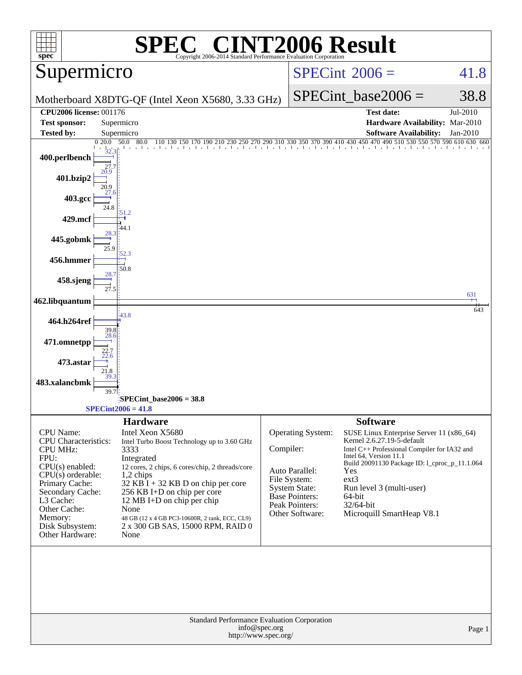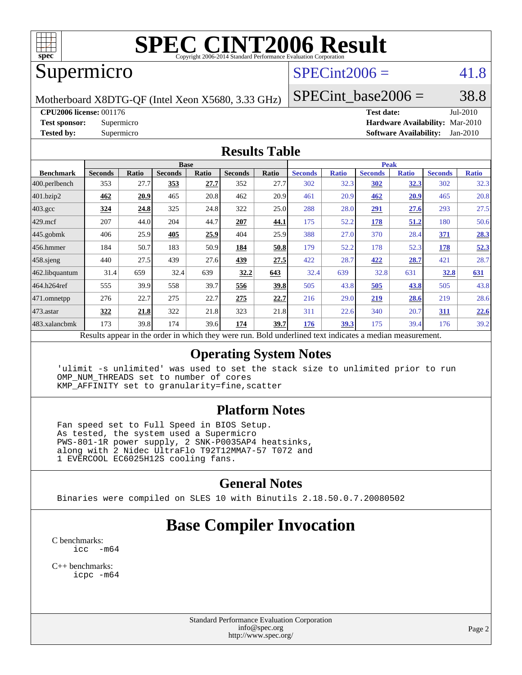

# **[SPEC CINT2006 Result](http://www.spec.org/auto/cpu2006/Docs/result-fields.html#SPECCINT2006Result)**

# Supermicro

# $SPECint2006 = 41.8$  $SPECint2006 = 41.8$

Motherboard X8DTG-QF (Intel Xeon X5680, 3.33 GHz)

SPECint base2006 =  $38.8$ 

**[CPU2006 license:](http://www.spec.org/auto/cpu2006/Docs/result-fields.html#CPU2006license)** 001176 **[Test date:](http://www.spec.org/auto/cpu2006/Docs/result-fields.html#Testdate)** Jul-2010

**[Test sponsor:](http://www.spec.org/auto/cpu2006/Docs/result-fields.html#Testsponsor)** Supermicro **[Hardware Availability:](http://www.spec.org/auto/cpu2006/Docs/result-fields.html#HardwareAvailability)** Mar-2010 **[Tested by:](http://www.spec.org/auto/cpu2006/Docs/result-fields.html#Testedby)** Supermicro **[Software Availability:](http://www.spec.org/auto/cpu2006/Docs/result-fields.html#SoftwareAvailability)** Jan-2010

#### **[Results Table](http://www.spec.org/auto/cpu2006/Docs/result-fields.html#ResultsTable)**

|                    |                |              | <b>Base</b>    |       |                                                                                                          |       |                |              | <b>Peak</b>    |              |                |              |
|--------------------|----------------|--------------|----------------|-------|----------------------------------------------------------------------------------------------------------|-------|----------------|--------------|----------------|--------------|----------------|--------------|
| <b>Benchmark</b>   | <b>Seconds</b> | <b>Ratio</b> | <b>Seconds</b> | Ratio | <b>Seconds</b>                                                                                           | Ratio | <b>Seconds</b> | <b>Ratio</b> | <b>Seconds</b> | <b>Ratio</b> | <b>Seconds</b> | <b>Ratio</b> |
| 400.perlbench      | 353            | 27.7         | 353            | 27.7  | 352                                                                                                      | 27.7  | 302            | 32.3         | 302            | 32.3         | 302            | 32.3         |
| 401.bzip2          | 462            | 20.9         | 465            | 20.8  | 462                                                                                                      | 20.9  | 461            | 20.9         | 462            | <b>20.9</b>  | 465            | 20.8         |
| $403.\mathrm{gcc}$ | 324            | 24.8         | 325            | 24.8  | 322                                                                                                      | 25.0  | 288            | 28.0         | 291            | 27.6         | 293            | 27.5         |
| $429$ mcf          | 207            | 44.0         | 204            | 44.7  | 207                                                                                                      | 44.1  | 175            | 52.2         | 178            | 51.2         | 180            | 50.6         |
| $445$ .gobmk       | 406            | 25.9         | 405            | 25.9  | 404                                                                                                      | 25.9  | 388            | 27.0         | 370            | 28.4         | 371            | 28.3         |
| $ 456$ .hmmer      | 184            | 50.7         | 183            | 50.9  | 184                                                                                                      | 50.8  | 179            | 52.2         | 178            | 52.3         | 178            | 52.3         |
| $458$ .sjeng       | 440            | 27.5         | 439            | 27.6  | 439                                                                                                      | 27.5  | 422            | 28.7         | 422            | 28.7         | 421            | 28.7         |
| 462.libquantum     | 31.4           | 659          | 32.4           | 639   | 32.2                                                                                                     | 643   | 32.4           | 639          | 32.8           | 631          | 32.8           | 631          |
| 464.h264ref        | 555            | 39.9         | 558            | 39.7  | 556                                                                                                      | 39.8  | 505            | 43.8         | 505            | 43.8         | 505            | 43.8         |
| 471.omnetpp        | 276            | 22.7         | 275            | 22.7  | 275                                                                                                      | 22.7  | 216            | 29.0         | 219            | 28.6         | 219            | 28.6         |
| $473$ . astar      | 322            | 21.8         | 322            | 21.8  | 323                                                                                                      | 21.8  | 311            | 22.6         | 340            | 20.7         | 311            | 22.6         |
| 483.xalancbmk      | 173            | 39.8         | 174            | 39.6  | 174                                                                                                      | 39.7  | 176            | 39.3         | 175            | 39.4         | 176            | 39.2         |
|                    |                |              |                |       | Results appear in the order in which they were run. Bold underlined text indicates a median measurement. |       |                |              |                |              |                |              |

### **[Operating System Notes](http://www.spec.org/auto/cpu2006/Docs/result-fields.html#OperatingSystemNotes)**

 'ulimit -s unlimited' was used to set the stack size to unlimited prior to run OMP\_NUM\_THREADS set to number of cores KMP\_AFFINITY set to granularity=fine,scatter

### **[Platform Notes](http://www.spec.org/auto/cpu2006/Docs/result-fields.html#PlatformNotes)**

 Fan speed set to Full Speed in BIOS Setup. As tested, the system used a Supermicro PWS-801-1R power supply, 2 SNK-P0035AP4 heatsinks, along with 2 Nidec UltraFlo T92T12MMA7-57 T072 and 1 EVERCOOL EC6025H12S cooling fans.

### **[General Notes](http://www.spec.org/auto/cpu2006/Docs/result-fields.html#GeneralNotes)**

Binaries were compiled on SLES 10 with Binutils 2.18.50.0.7.20080502

# **[Base Compiler Invocation](http://www.spec.org/auto/cpu2006/Docs/result-fields.html#BaseCompilerInvocation)**

[C benchmarks](http://www.spec.org/auto/cpu2006/Docs/result-fields.html#Cbenchmarks): [icc -m64](http://www.spec.org/cpu2006/results/res2010q3/cpu2006-20100709-12367.flags.html#user_CCbase_intel_icc_64bit_f346026e86af2a669e726fe758c88044)

[C++ benchmarks:](http://www.spec.org/auto/cpu2006/Docs/result-fields.html#CXXbenchmarks) [icpc -m64](http://www.spec.org/cpu2006/results/res2010q3/cpu2006-20100709-12367.flags.html#user_CXXbase_intel_icpc_64bit_fc66a5337ce925472a5c54ad6a0de310)

> Standard Performance Evaluation Corporation [info@spec.org](mailto:info@spec.org) <http://www.spec.org/>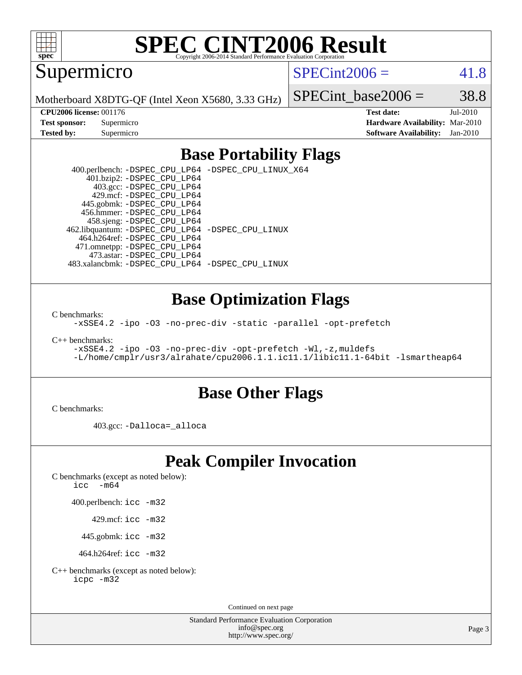

# **[SPEC CINT2006 Result](http://www.spec.org/auto/cpu2006/Docs/result-fields.html#SPECCINT2006Result)**

Supermicro

 $SPECint2006 = 41.8$  $SPECint2006 = 41.8$ 

Motherboard X8DTG-QF (Intel Xeon X5680, 3.33 GHz)

SPECint base2006 =  $38.8$ 

**[CPU2006 license:](http://www.spec.org/auto/cpu2006/Docs/result-fields.html#CPU2006license)** 001176 **[Test date:](http://www.spec.org/auto/cpu2006/Docs/result-fields.html#Testdate)** Jul-2010 **[Test sponsor:](http://www.spec.org/auto/cpu2006/Docs/result-fields.html#Testsponsor)** Supermicro **[Hardware Availability:](http://www.spec.org/auto/cpu2006/Docs/result-fields.html#HardwareAvailability)** Mar-2010 **[Tested by:](http://www.spec.org/auto/cpu2006/Docs/result-fields.html#Testedby)** Supermicro **[Software Availability:](http://www.spec.org/auto/cpu2006/Docs/result-fields.html#SoftwareAvailability)** Jan-2010

### **[Base Portability Flags](http://www.spec.org/auto/cpu2006/Docs/result-fields.html#BasePortabilityFlags)**

 400.perlbench: [-DSPEC\\_CPU\\_LP64](http://www.spec.org/cpu2006/results/res2010q3/cpu2006-20100709-12367.flags.html#b400.perlbench_basePORTABILITY_DSPEC_CPU_LP64) [-DSPEC\\_CPU\\_LINUX\\_X64](http://www.spec.org/cpu2006/results/res2010q3/cpu2006-20100709-12367.flags.html#b400.perlbench_baseCPORTABILITY_DSPEC_CPU_LINUX_X64) 401.bzip2: [-DSPEC\\_CPU\\_LP64](http://www.spec.org/cpu2006/results/res2010q3/cpu2006-20100709-12367.flags.html#suite_basePORTABILITY401_bzip2_DSPEC_CPU_LP64) 403.gcc: [-DSPEC\\_CPU\\_LP64](http://www.spec.org/cpu2006/results/res2010q3/cpu2006-20100709-12367.flags.html#suite_basePORTABILITY403_gcc_DSPEC_CPU_LP64) 429.mcf: [-DSPEC\\_CPU\\_LP64](http://www.spec.org/cpu2006/results/res2010q3/cpu2006-20100709-12367.flags.html#suite_basePORTABILITY429_mcf_DSPEC_CPU_LP64) 445.gobmk: [-DSPEC\\_CPU\\_LP64](http://www.spec.org/cpu2006/results/res2010q3/cpu2006-20100709-12367.flags.html#suite_basePORTABILITY445_gobmk_DSPEC_CPU_LP64) 456.hmmer: [-DSPEC\\_CPU\\_LP64](http://www.spec.org/cpu2006/results/res2010q3/cpu2006-20100709-12367.flags.html#suite_basePORTABILITY456_hmmer_DSPEC_CPU_LP64) 458.sjeng: [-DSPEC\\_CPU\\_LP64](http://www.spec.org/cpu2006/results/res2010q3/cpu2006-20100709-12367.flags.html#suite_basePORTABILITY458_sjeng_DSPEC_CPU_LP64) 462.libquantum: [-DSPEC\\_CPU\\_LP64](http://www.spec.org/cpu2006/results/res2010q3/cpu2006-20100709-12367.flags.html#suite_basePORTABILITY462_libquantum_DSPEC_CPU_LP64) [-DSPEC\\_CPU\\_LINUX](http://www.spec.org/cpu2006/results/res2010q3/cpu2006-20100709-12367.flags.html#b462.libquantum_baseCPORTABILITY_DSPEC_CPU_LINUX) 464.h264ref: [-DSPEC\\_CPU\\_LP64](http://www.spec.org/cpu2006/results/res2010q3/cpu2006-20100709-12367.flags.html#suite_basePORTABILITY464_h264ref_DSPEC_CPU_LP64) 471.omnetpp: [-DSPEC\\_CPU\\_LP64](http://www.spec.org/cpu2006/results/res2010q3/cpu2006-20100709-12367.flags.html#suite_basePORTABILITY471_omnetpp_DSPEC_CPU_LP64) 473.astar: [-DSPEC\\_CPU\\_LP64](http://www.spec.org/cpu2006/results/res2010q3/cpu2006-20100709-12367.flags.html#suite_basePORTABILITY473_astar_DSPEC_CPU_LP64) 483.xalancbmk: [-DSPEC\\_CPU\\_LP64](http://www.spec.org/cpu2006/results/res2010q3/cpu2006-20100709-12367.flags.html#suite_basePORTABILITY483_xalancbmk_DSPEC_CPU_LP64) [-DSPEC\\_CPU\\_LINUX](http://www.spec.org/cpu2006/results/res2010q3/cpu2006-20100709-12367.flags.html#b483.xalancbmk_baseCXXPORTABILITY_DSPEC_CPU_LINUX)

### **[Base Optimization Flags](http://www.spec.org/auto/cpu2006/Docs/result-fields.html#BaseOptimizationFlags)**

[C benchmarks](http://www.spec.org/auto/cpu2006/Docs/result-fields.html#Cbenchmarks):

[-xSSE4.2](http://www.spec.org/cpu2006/results/res2010q3/cpu2006-20100709-12367.flags.html#user_CCbase_f-xSSE42_f91528193cf0b216347adb8b939d4107) [-ipo](http://www.spec.org/cpu2006/results/res2010q3/cpu2006-20100709-12367.flags.html#user_CCbase_f-ipo) [-O3](http://www.spec.org/cpu2006/results/res2010q3/cpu2006-20100709-12367.flags.html#user_CCbase_f-O3) [-no-prec-div](http://www.spec.org/cpu2006/results/res2010q3/cpu2006-20100709-12367.flags.html#user_CCbase_f-no-prec-div) [-static](http://www.spec.org/cpu2006/results/res2010q3/cpu2006-20100709-12367.flags.html#user_CCbase_f-static) [-parallel](http://www.spec.org/cpu2006/results/res2010q3/cpu2006-20100709-12367.flags.html#user_CCbase_f-parallel) [-opt-prefetch](http://www.spec.org/cpu2006/results/res2010q3/cpu2006-20100709-12367.flags.html#user_CCbase_f-opt-prefetch)

[C++ benchmarks:](http://www.spec.org/auto/cpu2006/Docs/result-fields.html#CXXbenchmarks)

```
-xSSE4.2 -ipo -O3 -no-prec-div -opt-prefetch -Wl,-z,muldefs
-L/home/cmplr/usr3/alrahate/cpu2006.1.1.ic11.1/libic11.1-64bit -lsmartheap64
```
### **[Base Other Flags](http://www.spec.org/auto/cpu2006/Docs/result-fields.html#BaseOtherFlags)**

[C benchmarks](http://www.spec.org/auto/cpu2006/Docs/result-fields.html#Cbenchmarks):

403.gcc: [-Dalloca=\\_alloca](http://www.spec.org/cpu2006/results/res2010q3/cpu2006-20100709-12367.flags.html#b403.gcc_baseEXTRA_CFLAGS_Dalloca_be3056838c12de2578596ca5467af7f3)

# **[Peak Compiler Invocation](http://www.spec.org/auto/cpu2006/Docs/result-fields.html#PeakCompilerInvocation)**

[C benchmarks \(except as noted below\)](http://www.spec.org/auto/cpu2006/Docs/result-fields.html#Cbenchmarksexceptasnotedbelow):

icc  $-m64$ 

400.perlbench: [icc -m32](http://www.spec.org/cpu2006/results/res2010q3/cpu2006-20100709-12367.flags.html#user_peakCCLD400_perlbench_intel_icc_32bit_a6a621f8d50482236b970c6ac5f55f93)

429.mcf: [icc -m32](http://www.spec.org/cpu2006/results/res2010q3/cpu2006-20100709-12367.flags.html#user_peakCCLD429_mcf_intel_icc_32bit_a6a621f8d50482236b970c6ac5f55f93)

445.gobmk: [icc -m32](http://www.spec.org/cpu2006/results/res2010q3/cpu2006-20100709-12367.flags.html#user_peakCCLD445_gobmk_intel_icc_32bit_a6a621f8d50482236b970c6ac5f55f93)

464.h264ref: [icc -m32](http://www.spec.org/cpu2006/results/res2010q3/cpu2006-20100709-12367.flags.html#user_peakCCLD464_h264ref_intel_icc_32bit_a6a621f8d50482236b970c6ac5f55f93)

[C++ benchmarks \(except as noted below\):](http://www.spec.org/auto/cpu2006/Docs/result-fields.html#CXXbenchmarksexceptasnotedbelow) [icpc -m32](http://www.spec.org/cpu2006/results/res2010q3/cpu2006-20100709-12367.flags.html#user_CXXpeak_intel_icpc_32bit_4e5a5ef1a53fd332b3c49e69c3330699)

Continued on next page

Standard Performance Evaluation Corporation [info@spec.org](mailto:info@spec.org) <http://www.spec.org/>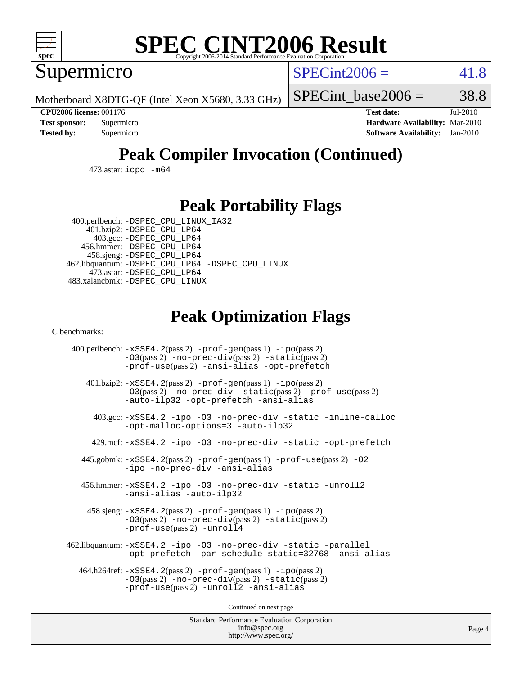

# **[SPEC CINT2006 Result](http://www.spec.org/auto/cpu2006/Docs/result-fields.html#SPECCINT2006Result)**

Supermicro

 $SPECint2006 = 41.8$  $SPECint2006 = 41.8$ 

Motherboard X8DTG-QF (Intel Xeon X5680, 3.33 GHz)

SPECint base2006 =  $38.8$ 

**[CPU2006 license:](http://www.spec.org/auto/cpu2006/Docs/result-fields.html#CPU2006license)** 001176 **[Test date:](http://www.spec.org/auto/cpu2006/Docs/result-fields.html#Testdate)** Jul-2010 **[Test sponsor:](http://www.spec.org/auto/cpu2006/Docs/result-fields.html#Testsponsor)** Supermicro **[Hardware Availability:](http://www.spec.org/auto/cpu2006/Docs/result-fields.html#HardwareAvailability)** Mar-2010 **[Tested by:](http://www.spec.org/auto/cpu2006/Docs/result-fields.html#Testedby)** Supermicro **[Software Availability:](http://www.spec.org/auto/cpu2006/Docs/result-fields.html#SoftwareAvailability)** Jan-2010

# **[Peak Compiler Invocation \(Continued\)](http://www.spec.org/auto/cpu2006/Docs/result-fields.html#PeakCompilerInvocation)**

473.astar: [icpc -m64](http://www.spec.org/cpu2006/results/res2010q3/cpu2006-20100709-12367.flags.html#user_peakCXXLD473_astar_intel_icpc_64bit_fc66a5337ce925472a5c54ad6a0de310)

### **[Peak Portability Flags](http://www.spec.org/auto/cpu2006/Docs/result-fields.html#PeakPortabilityFlags)**

 400.perlbench: [-DSPEC\\_CPU\\_LINUX\\_IA32](http://www.spec.org/cpu2006/results/res2010q3/cpu2006-20100709-12367.flags.html#b400.perlbench_peakCPORTABILITY_DSPEC_CPU_LINUX_IA32) 401.bzip2: [-DSPEC\\_CPU\\_LP64](http://www.spec.org/cpu2006/results/res2010q3/cpu2006-20100709-12367.flags.html#suite_peakPORTABILITY401_bzip2_DSPEC_CPU_LP64)

 403.gcc: [-DSPEC\\_CPU\\_LP64](http://www.spec.org/cpu2006/results/res2010q3/cpu2006-20100709-12367.flags.html#suite_peakPORTABILITY403_gcc_DSPEC_CPU_LP64) 456.hmmer: [-DSPEC\\_CPU\\_LP64](http://www.spec.org/cpu2006/results/res2010q3/cpu2006-20100709-12367.flags.html#suite_peakPORTABILITY456_hmmer_DSPEC_CPU_LP64) 458.sjeng: [-DSPEC\\_CPU\\_LP64](http://www.spec.org/cpu2006/results/res2010q3/cpu2006-20100709-12367.flags.html#suite_peakPORTABILITY458_sjeng_DSPEC_CPU_LP64) 462.libquantum: [-DSPEC\\_CPU\\_LP64](http://www.spec.org/cpu2006/results/res2010q3/cpu2006-20100709-12367.flags.html#suite_peakPORTABILITY462_libquantum_DSPEC_CPU_LP64) [-DSPEC\\_CPU\\_LINUX](http://www.spec.org/cpu2006/results/res2010q3/cpu2006-20100709-12367.flags.html#b462.libquantum_peakCPORTABILITY_DSPEC_CPU_LINUX) 473.astar: [-DSPEC\\_CPU\\_LP64](http://www.spec.org/cpu2006/results/res2010q3/cpu2006-20100709-12367.flags.html#suite_peakPORTABILITY473_astar_DSPEC_CPU_LP64) 483.xalancbmk: [-DSPEC\\_CPU\\_LINUX](http://www.spec.org/cpu2006/results/res2010q3/cpu2006-20100709-12367.flags.html#b483.xalancbmk_peakCXXPORTABILITY_DSPEC_CPU_LINUX)

# **[Peak Optimization Flags](http://www.spec.org/auto/cpu2006/Docs/result-fields.html#PeakOptimizationFlags)**

[C benchmarks](http://www.spec.org/auto/cpu2006/Docs/result-fields.html#Cbenchmarks):

 400.perlbench: [-xSSE4.2](http://www.spec.org/cpu2006/results/res2010q3/cpu2006-20100709-12367.flags.html#user_peakPASS2_CFLAGSPASS2_LDCFLAGS400_perlbench_f-xSSE42_f91528193cf0b216347adb8b939d4107)(pass 2) [-prof-gen](http://www.spec.org/cpu2006/results/res2010q3/cpu2006-20100709-12367.flags.html#user_peakPASS1_CFLAGSPASS1_LDCFLAGS400_perlbench_prof_gen_e43856698f6ca7b7e442dfd80e94a8fc)(pass 1) [-ipo](http://www.spec.org/cpu2006/results/res2010q3/cpu2006-20100709-12367.flags.html#user_peakPASS2_CFLAGSPASS2_LDCFLAGS400_perlbench_f-ipo)(pass 2) [-O3](http://www.spec.org/cpu2006/results/res2010q3/cpu2006-20100709-12367.flags.html#user_peakPASS2_CFLAGSPASS2_LDCFLAGS400_perlbench_f-O3)(pass 2) [-no-prec-div](http://www.spec.org/cpu2006/results/res2010q3/cpu2006-20100709-12367.flags.html#user_peakPASS2_CFLAGSPASS2_LDCFLAGS400_perlbench_f-no-prec-div)(pass 2) [-static](http://www.spec.org/cpu2006/results/res2010q3/cpu2006-20100709-12367.flags.html#user_peakPASS2_CFLAGSPASS2_LDCFLAGS400_perlbench_f-static)(pass 2) [-prof-use](http://www.spec.org/cpu2006/results/res2010q3/cpu2006-20100709-12367.flags.html#user_peakPASS2_CFLAGSPASS2_LDCFLAGS400_perlbench_prof_use_bccf7792157ff70d64e32fe3e1250b55)(pass 2) [-ansi-alias](http://www.spec.org/cpu2006/results/res2010q3/cpu2006-20100709-12367.flags.html#user_peakCOPTIMIZE400_perlbench_f-ansi-alias) [-opt-prefetch](http://www.spec.org/cpu2006/results/res2010q3/cpu2006-20100709-12367.flags.html#user_peakCOPTIMIZE400_perlbench_f-opt-prefetch) 401.bzip2: [-xSSE4.2](http://www.spec.org/cpu2006/results/res2010q3/cpu2006-20100709-12367.flags.html#user_peakPASS2_CFLAGSPASS2_LDCFLAGS401_bzip2_f-xSSE42_f91528193cf0b216347adb8b939d4107)(pass 2) [-prof-gen](http://www.spec.org/cpu2006/results/res2010q3/cpu2006-20100709-12367.flags.html#user_peakPASS1_CFLAGSPASS1_LDCFLAGS401_bzip2_prof_gen_e43856698f6ca7b7e442dfd80e94a8fc)(pass 1) [-ipo](http://www.spec.org/cpu2006/results/res2010q3/cpu2006-20100709-12367.flags.html#user_peakPASS2_CFLAGSPASS2_LDCFLAGS401_bzip2_f-ipo)(pass 2) [-O3](http://www.spec.org/cpu2006/results/res2010q3/cpu2006-20100709-12367.flags.html#user_peakPASS2_CFLAGSPASS2_LDCFLAGS401_bzip2_f-O3)(pass 2) [-no-prec-div](http://www.spec.org/cpu2006/results/res2010q3/cpu2006-20100709-12367.flags.html#user_peakCOPTIMIZEPASS2_CFLAGSPASS2_LDCFLAGS401_bzip2_f-no-prec-div) [-static](http://www.spec.org/cpu2006/results/res2010q3/cpu2006-20100709-12367.flags.html#user_peakPASS2_CFLAGSPASS2_LDCFLAGS401_bzip2_f-static)(pass 2) [-prof-use](http://www.spec.org/cpu2006/results/res2010q3/cpu2006-20100709-12367.flags.html#user_peakPASS2_CFLAGSPASS2_LDCFLAGS401_bzip2_prof_use_bccf7792157ff70d64e32fe3e1250b55)(pass 2) [-auto-ilp32](http://www.spec.org/cpu2006/results/res2010q3/cpu2006-20100709-12367.flags.html#user_peakCOPTIMIZE401_bzip2_f-auto-ilp32) [-opt-prefetch](http://www.spec.org/cpu2006/results/res2010q3/cpu2006-20100709-12367.flags.html#user_peakCOPTIMIZE401_bzip2_f-opt-prefetch) [-ansi-alias](http://www.spec.org/cpu2006/results/res2010q3/cpu2006-20100709-12367.flags.html#user_peakCOPTIMIZE401_bzip2_f-ansi-alias) 403.gcc: [-xSSE4.2](http://www.spec.org/cpu2006/results/res2010q3/cpu2006-20100709-12367.flags.html#user_peakCOPTIMIZE403_gcc_f-xSSE42_f91528193cf0b216347adb8b939d4107) [-ipo](http://www.spec.org/cpu2006/results/res2010q3/cpu2006-20100709-12367.flags.html#user_peakCOPTIMIZE403_gcc_f-ipo) [-O3](http://www.spec.org/cpu2006/results/res2010q3/cpu2006-20100709-12367.flags.html#user_peakCOPTIMIZE403_gcc_f-O3) [-no-prec-div](http://www.spec.org/cpu2006/results/res2010q3/cpu2006-20100709-12367.flags.html#user_peakCOPTIMIZE403_gcc_f-no-prec-div) [-static](http://www.spec.org/cpu2006/results/res2010q3/cpu2006-20100709-12367.flags.html#user_peakCOPTIMIZE403_gcc_f-static) [-inline-calloc](http://www.spec.org/cpu2006/results/res2010q3/cpu2006-20100709-12367.flags.html#user_peakCOPTIMIZE403_gcc_f-inline-calloc) [-opt-malloc-options=3](http://www.spec.org/cpu2006/results/res2010q3/cpu2006-20100709-12367.flags.html#user_peakCOPTIMIZE403_gcc_f-opt-malloc-options_13ab9b803cf986b4ee62f0a5998c2238) [-auto-ilp32](http://www.spec.org/cpu2006/results/res2010q3/cpu2006-20100709-12367.flags.html#user_peakCOPTIMIZE403_gcc_f-auto-ilp32) 429.mcf: [-xSSE4.2](http://www.spec.org/cpu2006/results/res2010q3/cpu2006-20100709-12367.flags.html#user_peakCOPTIMIZE429_mcf_f-xSSE42_f91528193cf0b216347adb8b939d4107) [-ipo](http://www.spec.org/cpu2006/results/res2010q3/cpu2006-20100709-12367.flags.html#user_peakCOPTIMIZE429_mcf_f-ipo) [-O3](http://www.spec.org/cpu2006/results/res2010q3/cpu2006-20100709-12367.flags.html#user_peakCOPTIMIZE429_mcf_f-O3) [-no-prec-div](http://www.spec.org/cpu2006/results/res2010q3/cpu2006-20100709-12367.flags.html#user_peakCOPTIMIZE429_mcf_f-no-prec-div) [-static](http://www.spec.org/cpu2006/results/res2010q3/cpu2006-20100709-12367.flags.html#user_peakCOPTIMIZE429_mcf_f-static) [-opt-prefetch](http://www.spec.org/cpu2006/results/res2010q3/cpu2006-20100709-12367.flags.html#user_peakCOPTIMIZE429_mcf_f-opt-prefetch) 445.gobmk: [-xSSE4.2](http://www.spec.org/cpu2006/results/res2010q3/cpu2006-20100709-12367.flags.html#user_peakPASS2_CFLAGSPASS2_LDCFLAGS445_gobmk_f-xSSE42_f91528193cf0b216347adb8b939d4107)(pass 2) [-prof-gen](http://www.spec.org/cpu2006/results/res2010q3/cpu2006-20100709-12367.flags.html#user_peakPASS1_CFLAGSPASS1_LDCFLAGS445_gobmk_prof_gen_e43856698f6ca7b7e442dfd80e94a8fc)(pass 1) [-prof-use](http://www.spec.org/cpu2006/results/res2010q3/cpu2006-20100709-12367.flags.html#user_peakPASS2_CFLAGSPASS2_LDCFLAGS445_gobmk_prof_use_bccf7792157ff70d64e32fe3e1250b55)(pass 2) [-O2](http://www.spec.org/cpu2006/results/res2010q3/cpu2006-20100709-12367.flags.html#user_peakCOPTIMIZE445_gobmk_f-O2) [-ipo](http://www.spec.org/cpu2006/results/res2010q3/cpu2006-20100709-12367.flags.html#user_peakCOPTIMIZE445_gobmk_f-ipo) [-no-prec-div](http://www.spec.org/cpu2006/results/res2010q3/cpu2006-20100709-12367.flags.html#user_peakCOPTIMIZE445_gobmk_f-no-prec-div) [-ansi-alias](http://www.spec.org/cpu2006/results/res2010q3/cpu2006-20100709-12367.flags.html#user_peakCOPTIMIZE445_gobmk_f-ansi-alias) 456.hmmer: [-xSSE4.2](http://www.spec.org/cpu2006/results/res2010q3/cpu2006-20100709-12367.flags.html#user_peakCOPTIMIZE456_hmmer_f-xSSE42_f91528193cf0b216347adb8b939d4107) [-ipo](http://www.spec.org/cpu2006/results/res2010q3/cpu2006-20100709-12367.flags.html#user_peakCOPTIMIZE456_hmmer_f-ipo) [-O3](http://www.spec.org/cpu2006/results/res2010q3/cpu2006-20100709-12367.flags.html#user_peakCOPTIMIZE456_hmmer_f-O3) [-no-prec-div](http://www.spec.org/cpu2006/results/res2010q3/cpu2006-20100709-12367.flags.html#user_peakCOPTIMIZE456_hmmer_f-no-prec-div) [-static](http://www.spec.org/cpu2006/results/res2010q3/cpu2006-20100709-12367.flags.html#user_peakCOPTIMIZE456_hmmer_f-static) [-unroll2](http://www.spec.org/cpu2006/results/res2010q3/cpu2006-20100709-12367.flags.html#user_peakCOPTIMIZE456_hmmer_f-unroll_784dae83bebfb236979b41d2422d7ec2) [-ansi-alias](http://www.spec.org/cpu2006/results/res2010q3/cpu2006-20100709-12367.flags.html#user_peakCOPTIMIZE456_hmmer_f-ansi-alias) [-auto-ilp32](http://www.spec.org/cpu2006/results/res2010q3/cpu2006-20100709-12367.flags.html#user_peakCOPTIMIZE456_hmmer_f-auto-ilp32) 458.sjeng: [-xSSE4.2](http://www.spec.org/cpu2006/results/res2010q3/cpu2006-20100709-12367.flags.html#user_peakPASS2_CFLAGSPASS2_LDCFLAGS458_sjeng_f-xSSE42_f91528193cf0b216347adb8b939d4107)(pass 2) [-prof-gen](http://www.spec.org/cpu2006/results/res2010q3/cpu2006-20100709-12367.flags.html#user_peakPASS1_CFLAGSPASS1_LDCFLAGS458_sjeng_prof_gen_e43856698f6ca7b7e442dfd80e94a8fc)(pass 1) [-ipo](http://www.spec.org/cpu2006/results/res2010q3/cpu2006-20100709-12367.flags.html#user_peakPASS2_CFLAGSPASS2_LDCFLAGS458_sjeng_f-ipo)(pass 2) [-O3](http://www.spec.org/cpu2006/results/res2010q3/cpu2006-20100709-12367.flags.html#user_peakPASS2_CFLAGSPASS2_LDCFLAGS458_sjeng_f-O3)(pass 2) [-no-prec-div](http://www.spec.org/cpu2006/results/res2010q3/cpu2006-20100709-12367.flags.html#user_peakPASS2_CFLAGSPASS2_LDCFLAGS458_sjeng_f-no-prec-div)(pass 2) [-static](http://www.spec.org/cpu2006/results/res2010q3/cpu2006-20100709-12367.flags.html#user_peakPASS2_CFLAGSPASS2_LDCFLAGS458_sjeng_f-static)(pass 2) [-prof-use](http://www.spec.org/cpu2006/results/res2010q3/cpu2006-20100709-12367.flags.html#user_peakPASS2_CFLAGSPASS2_LDCFLAGS458_sjeng_prof_use_bccf7792157ff70d64e32fe3e1250b55)(pass 2) [-unroll4](http://www.spec.org/cpu2006/results/res2010q3/cpu2006-20100709-12367.flags.html#user_peakCOPTIMIZE458_sjeng_f-unroll_4e5e4ed65b7fd20bdcd365bec371b81f) 462.libquantum: [-xSSE4.2](http://www.spec.org/cpu2006/results/res2010q3/cpu2006-20100709-12367.flags.html#user_peakCOPTIMIZE462_libquantum_f-xSSE42_f91528193cf0b216347adb8b939d4107) [-ipo](http://www.spec.org/cpu2006/results/res2010q3/cpu2006-20100709-12367.flags.html#user_peakCOPTIMIZE462_libquantum_f-ipo) [-O3](http://www.spec.org/cpu2006/results/res2010q3/cpu2006-20100709-12367.flags.html#user_peakCOPTIMIZE462_libquantum_f-O3) [-no-prec-div](http://www.spec.org/cpu2006/results/res2010q3/cpu2006-20100709-12367.flags.html#user_peakCOPTIMIZE462_libquantum_f-no-prec-div) [-static](http://www.spec.org/cpu2006/results/res2010q3/cpu2006-20100709-12367.flags.html#user_peakCOPTIMIZE462_libquantum_f-static) [-parallel](http://www.spec.org/cpu2006/results/res2010q3/cpu2006-20100709-12367.flags.html#user_peakCOPTIMIZE462_libquantum_f-parallel) [-opt-prefetch](http://www.spec.org/cpu2006/results/res2010q3/cpu2006-20100709-12367.flags.html#user_peakCOPTIMIZE462_libquantum_f-opt-prefetch) [-par-schedule-static=32768](http://www.spec.org/cpu2006/results/res2010q3/cpu2006-20100709-12367.flags.html#user_peakCOPTIMIZE462_libquantum_f-par-schedule_9386bcd99ba64e99ee01d1aafefddd14) [-ansi-alias](http://www.spec.org/cpu2006/results/res2010q3/cpu2006-20100709-12367.flags.html#user_peakCOPTIMIZE462_libquantum_f-ansi-alias) 464.h264ref: [-xSSE4.2](http://www.spec.org/cpu2006/results/res2010q3/cpu2006-20100709-12367.flags.html#user_peakPASS2_CFLAGSPASS2_LDCFLAGS464_h264ref_f-xSSE42_f91528193cf0b216347adb8b939d4107)(pass 2) [-prof-gen](http://www.spec.org/cpu2006/results/res2010q3/cpu2006-20100709-12367.flags.html#user_peakPASS1_CFLAGSPASS1_LDCFLAGS464_h264ref_prof_gen_e43856698f6ca7b7e442dfd80e94a8fc)(pass 1) [-ipo](http://www.spec.org/cpu2006/results/res2010q3/cpu2006-20100709-12367.flags.html#user_peakPASS2_CFLAGSPASS2_LDCFLAGS464_h264ref_f-ipo)(pass 2) [-O3](http://www.spec.org/cpu2006/results/res2010q3/cpu2006-20100709-12367.flags.html#user_peakPASS2_CFLAGSPASS2_LDCFLAGS464_h264ref_f-O3)(pass 2) [-no-prec-div](http://www.spec.org/cpu2006/results/res2010q3/cpu2006-20100709-12367.flags.html#user_peakPASS2_CFLAGSPASS2_LDCFLAGS464_h264ref_f-no-prec-div)(pass 2) [-static](http://www.spec.org/cpu2006/results/res2010q3/cpu2006-20100709-12367.flags.html#user_peakPASS2_CFLAGSPASS2_LDCFLAGS464_h264ref_f-static)(pass 2) [-prof-use](http://www.spec.org/cpu2006/results/res2010q3/cpu2006-20100709-12367.flags.html#user_peakPASS2_CFLAGSPASS2_LDCFLAGS464_h264ref_prof_use_bccf7792157ff70d64e32fe3e1250b55)(pass 2) [-unroll2](http://www.spec.org/cpu2006/results/res2010q3/cpu2006-20100709-12367.flags.html#user_peakCOPTIMIZE464_h264ref_f-unroll_784dae83bebfb236979b41d2422d7ec2) [-ansi-alias](http://www.spec.org/cpu2006/results/res2010q3/cpu2006-20100709-12367.flags.html#user_peakCOPTIMIZE464_h264ref_f-ansi-alias)

Continued on next page

Standard Performance Evaluation Corporation [info@spec.org](mailto:info@spec.org) <http://www.spec.org/>